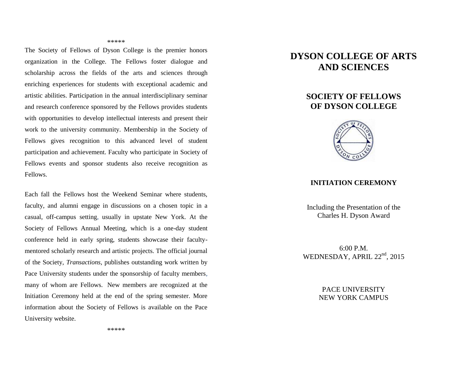#### \*\*\*\*\*

The Society of Fellows of Dyson College is the premier honors organization in the College. The Fellows foster dialogue and scholarship across the fields of the arts and sciences through enriching experiences for students with exceptional academic and artistic abilities. Participation in the annual interdisciplinary seminar and research conference sponsored by the Fellows provides students with opportunities to develop intellectual interests and present their work to the university community. Membership in the Society of Fellows gives recognition to this advanced level of student participation and achievement. Faculty who participate in Society of Fellows events and sponsor students also receive recognition as Fellows.

Each fall the Fellows host the Weekend Seminar where students, faculty, and alumni engage in discussions on a chosen topic in a casual, off-campus setting, usually in upstate New York. At the Society of Fellows Annual Meeting, which is a one-day student conference held in early spring, students showcase their facultymentored scholarly research and artistic projects. The official journal of the Society, *Transactions*, publishes outstanding work written by Pace University students under the sponsorship of faculty members, many of whom are Fellows. New members are recognized at the Initiation Ceremony held at the end of the spring semester. More information about the Society of Fellows is available on the Pace University website.

# **DYSON COLLEGE OF ARTS AND SCIENCES**

## **SOCIETY OF FELLOWS OF DYSON COLLEGE**



#### **INITIATION CEREMONY**

Including the Presentation of the Charles H. Dyson Award

6:00 P.M. WEDNESDAY, APRIL 22<sup>nd</sup>, 2015

> PACE UNIVERSITY NEW YORK CAMPUS